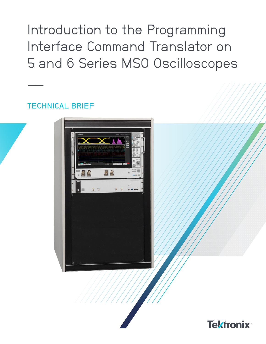Introduction to the Programming Interface Command Translator on 5 and 6 Series MSO Oscilloscopes

# TECHNICAL BRIEF

––



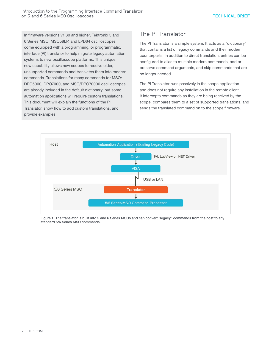In firmware versions v1.30 and higher, Tektronix 5 and 6 Series MSO, MSO58LP, and LPD64 oscilloscopes come equipped with a programming, or programmatic, interface (PI) translator to help migrate legacy automation systems to new oscilloscope platforms. This unique, new capability allows new scopes to receive older, unsupported commands and translates them into modern commands. Translations for many commands for MSO/ DPO5000, DPO7000, and MSO/DPO70000 oscilloscopes are already included in the default dictionary, but some automation applications will require custom translations. This document will explain the functions of the PI Translator, show how to add custom translations, and provide examples.

# The PI Translator

The PI Translator is a simple system. It acts as a "dictionary" that contains a list of legacy commands and their modern counterparts. In addition to direct translation, entries can be configured to alias to multiple modern commands, add or preserve command arguments, and skip commands that are no longer needed.

The PI Translator runs passively in the scope application and does not require any installation in the remote client. It intercepts commands as they are being received by the scope, compares them to a set of supported translations, and sends the translated command on to the scope firmware.



Figure 1: The translator is built into 5 and 6 Series MSOs and can convert "legacy" commands from the host to any standard 5/6 Series MSO commands.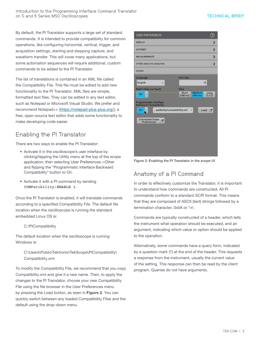By default, the PI Translator supports a large set of standard commands. It is intended to provide compatibility for common operations, like configuring horizontal, vertical, trigger, and acquisition settings, starting and stopping capture, and waveform transfer. This will cover many applications, but some automation sequences will require additional, custom commands to be added to the PI Translator.

The list of translations is contained in an XML file called the Compatibility File. This file must be edited to add new functionality to the PI Translator. XML files are simple, formatted text files. They can be edited in any text editor, such as Notepad or Microsoft Visual Studio. We prefer and recommend Notepad++ (https://notepad-plus-plus.org/), a free, open-source text editor that adds some functionality to make developing code easier.

# Enabling the PI Translator

There are two ways to enable the PI Translator:

- Activate it in the oscilloscope's user interface by clicking/tapping the Utility menu at the top of the scope application, then selecting User Preferences->Other and flipping the "Programmatic Interface Backward Compatibility" button to On.
- Activate it with a PI command by sending **COMPatibility:ENABLE 1**.

Once the PI Translator is enabled, it will translate commands according to a specified Compatibility File. The default file location when the oscilloscope is running the standard embedded Linux OS is:

## C:/PICompatibility

The default location when the oscilloscope is running Windows is:

C:\Users\Public\Tektronix\TekScope\PICompatibility\ Compatibility.xml

To modify the Compatibility File, we recommend that you copy Compatibility.xml and give it a new name. Then, to apply the changes to the PI Translator, choose your new Compatibility File using the file browser in the User Preferences menu by pressing the Load button, as seen in Figure 2. You can quickly switch between any loaded Compatibility Files and the default using the drop-down menu.



Figure 2: Enabling the PI Translator in the scope UI

# Anatomy of a PI Command

In order to effectively customize the Translator, it is important to understand how commands are constructed. All PI commands conform to a standard SCPI format. This means that they are composed of ASCII (text) strings followed by a termination character, 0x0A or '\n'.

Commands are typically constructed of a header, which tells the instrument what operation should be executed, and an argument, indicating which value or option should be applied to the operation.

Alternatively, some commands have a query form, indicated by a question mark (?) at the end of the header. This requests a response from the instrument, usually the current value of the setting. This response can then be read by the client program. Queries do not have arguments.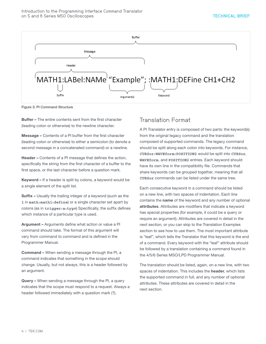

Figure 3: PI Command Structure

Buffer – The entire contents sent from the first character (leading colon or otherwise) to the newline character.

Message – Contents of a PI buffer from the first character (leading colon or otherwise) to either a semicolon (to denote a second message in a concatenated command) or a newline.

Header – Contents of a PI message that defines the action, specifically the string from the first character of a buffer to the first space, or the last character before a question mark.

Keyword – If a header is split by colons, a keyword would be a single element of the split list.

Suffix – Usually the trailing integer of a keyword (such as the **1** in **math:math1:define**) or a single character set apart by colons (as in **trigger:a:typ**e) Specifically, the suffix defines which instance of a particular type is used.

Argument – Arguments define what action or value a PI command should take. The format of this argument will vary from command to command and is defined in the Programmer Manual.

Command – When sending a message through the PI, a command indicates that something in the scope should change. Usually, but not always, this is a header followed by an argument.

Query – When sending a message through the PI, a query indicates that the scope must respond to a request. Always a header followed immediately with a question mark (?).

# Translation Format

A PI Translator entry is composed of two parts: the keyword(s) from the original legacy command and the translation composed of supported commands. The legacy command should be split along each colon into keywords. For instance, **CURSor:WAVEform:POSITION2** would be split into **CURSor**, **WAVEform**, and **POSITION2** entries. Each keyword should have its own line in the compatibility file. Commands that share keywords can be grouped together, meaning that all **CURSor** commands can be listed under the same tree.

Each consecutive keyword in a command should be listed on a new line, with two spaces of indentation. Each line contains the name of the keyword and any number of optional attributes. Attributes are modifiers that indicate a keyword has special properties (for example, it could be a query or require an argument). Attributes are covered in detail in the next section, or you can skip to the Translation Examples section to see how to use them. The most important attribute is "leaf", which tells the Translator that this keyword is the end of a command. Every keyword with the "leaf" attribute should be followed by a translation containing a command found in the 4/5/6 Series MSO/LPD Programmer Manual.

The translation should be listed, again, on a new line, with two spaces of indentation. This includes the header, which lists the supported command in full, and any number of optional attributes. These attributes are covered in detail in the next section.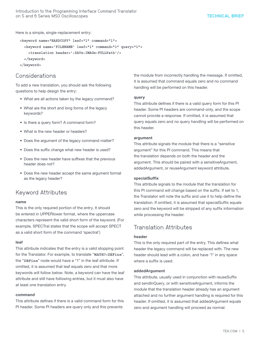Here is a simple, single-replacement entry:

```
 <keyword name="HARDCOPY" leaf="1" command="1">
   <keyword name='FILENAME' leaf="1" command="1" query="1">
     <translation header=':SAVe:IMAGe:FULLPath'/>
   </keyword>
 </keyword>
```
## Considerations

To add a new translation, you should ask the following questions to help design the entry:

- What are all actions taken by the legacy command?
- What are the short and long forms of the legacy keywords?
- Is there a query form? A command form?
- What is the new header or headers?
- Does the argument of the legacy command matter?
- Does the suffix change what new header is used?
- Does the new header have suffixes that the previous header does not?
- Does the new header accept the same argument format as the legacy header?

## Keyword Attributes

#### name

This is the only required portion of the entry. It should be entered in UPPERlower format, where the uppercase characters represent the valid short form of the keyword. (For example, SPECTral states that the scope will accept SPECT as a valid short form of the command 'spectral')

#### leaf

This attribute indicates that the entry is a valid stopping point for the Translator. For example, to translate "**MATH?:DEFine**", the "**DEFine**" node would have a "1" in the leaf attribute. If omitted, it is assumed that leaf equals zero and that more keywords will follow below. Note, a keyword can have the leaf attribute and still have following entries, but it must also have at least one translation entry.

#### command

This attribute defines if there is a valid command form for this PI header. Some PI headers are query only and this prevents

the module from incorrectly handling the message. If omitted, it is assumed that command equals zero and no command handling will be performed on this header.

#### query

This attribute defines if there is a valid query form for this PI header. Some PI headers are command-only, and the scope cannot provide a response. If omitted, it is assumed that query equals zero and no query handling will be performed on this header.

### argument

This attribute signals the module that there is a "sensitive argument" for this PI command. This means that the translation depends on both the header and the argument. This should be paired with a sensitiveArgument, addedArgument, or reuseArgument keyword attribute.

## specialSuffix

This attribute signals to the module that the translation for this PI command will change based on the suffix. If set to 1, the Translator will note the suffix and use it to help define the translation. If omitted, it is assumed that specialSuffix equals zero and the keyword will be stripped of any suffix information while processing the header.

## Translation Attributes

## header

This is the only required part of the entry. This defines what header the legacy command will be replaced with. The new header should lead with a colon, and have '?' in any space where a suffix is used.

## addedArgument

This attribute, usually used in conjunction with reuseSuffix and sendInQuery, or with sensitiveArgument, informs the module that the translation header already has an argument attached and no further argument handling is required for this header. If omitted, it is assumed that addedArgument equals zero and argument handling will proceed as normal.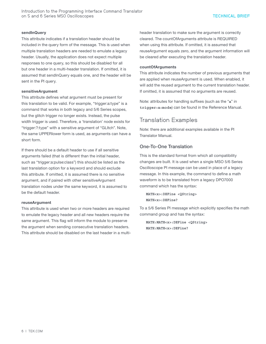Introduction to the Programming Interface Command Translator on 5 and 6 Series MSO Oscilloscopes

#### sendInQuery

This attribute indicates if a translation header should be included in the query form of the message. This is used when multiple translation headers are needed to emulate a legacy header. Usually, the application does not expect multiple responses to one query, so this should be disabled for all but one header in a multi-header translation. If omitted, it is assumed that sendInQuery equals one, and the header will be sent in the PI query.

#### sensitiveArgument

This attribute defines what argument must be present for this translation to be valid. For example, "trigger:a:type" is a command that works in both legacy and 5/6 Series scopes, but the glitch trigger no longer exists. Instead, the pulse width trigger is used. Therefore, a 'translation' node exists for "trigger:?:type" with a sensitive argument of "GLItch". Note, the same UPPERlower form is used, as arguments can have a short form.

If there should be a default header to use if all sensitive arguments failed (that is different than the initial header, such as "trigger:a:pulse:class") this should be listed as the last translation option for a keyword and should exclude this attribute. If omitted, it is assumed there is no sensitive argument, and if paired with other sensitiveArgument translation nodes under the same keyword, it is assumed to be the default header.

### reuseArgument

This attribute is used when two or more headers are required to emulate the legacy header and all new headers require the same argument. This flag will inform the module to preserve the argument when sending consecutive translation headers. This attribute should be disabled on the last header in a multiheader translation to make sure the argument is correctly cleared. The countOfArguments attribute is REQUIRED when using this attribute. If omitted, it is assumed that reuseArgument equals zero, and the argument information will be cleared after executing the translation header.

#### countOfArguments

This attribute indicates the number of previous arguments that are applied when reuseArgument is used. When enabled, it will add the reused argument to the current translation header. If omitted, it is assumed that no arguments are reused.

Note: attributes for handling suffixes (such as the "**a**" in **trigger:a:mode**) can be found in the Reference Manual.

## Translation Examples

Note: there are additional examples available in the PI Translator Manual.

## One-To-One Translation

This is the standard format from which all compatibility changes are built. It is used when a single MSO 5/6 Series Oscilloscope PI message can be used in place of a legacy message. In this example, the command to define a math waveform is to be translated from a legacy DPO7000 command which has the syntax:

 **MATH<x>:DEFine <QString> MATH<x>:DEFine?**

To a 5/6 Series PI message which explicitly specifies the math command group and has the syntax:

```
 MATH:MATH<x>:DEFine <QString>
 MATH:MATH<x>:DEFine?
```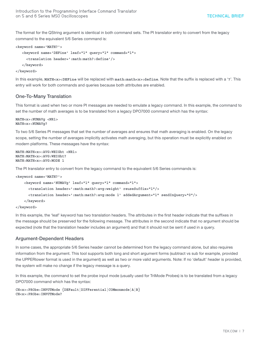The format for the QString argument is identical in both command sets. The PI translator entry to convert from the legacy command to the equivalent 5/6 Series command is:

```
<keyword name='MATH?'>
```

```
 <keyword name='DEFine' leaf="1" query="1" command="1">
   <translation header=':math:math?:define'/>
 </keyword>
```
**</keyword>** 

In this example, **MATH<x>:DEFine** will be replaced with **math:math<x>:define**. Note that the suffix is replaced with a '**?**'. This entry will work for both commands and queries because both attributes are enabled.

## One-To-Many Translation

This format is used when two or more PI messages are needed to emulate a legacy command. In this example, the command to set the number of math averages is to be translated from a legacy DPO7000 command which has the syntax:

```
MATH<x>:NUMAVg <NR1>
MATH<x>:NUMAVg?
```
To two 5/6 Series PI messages that set the number of averages and ensures that math averaging is enabled. On the legacy scope, setting the number of averages implicitly activates math averaging, but this operation must be explicitly enabled on modern platforms. These messages have the syntax:

```
MATH:MATH<x>:AVG:WEIGht <NR1>
MATH:MATH<x>:AVG:WEIGht?
MATH:MATH<x>:AVG:MODE 1
```
The PI translator entry to convert from the legacy command to the equivalent 5/6 Series commands is:

```
<keyword name='MATH?'>
```

```
 <keyword name='NUMAVg' leaf="1" query="1" command="1">
   <translation header=':math:math?:avg:weight' reuseSuffix="1"/>
   <translation header=':math:math?:avg:mode 1' addedArgument="1" sendInQuery="0"/>
 </keyword>
```

```
</keyword>
```
In this example, the 'leaf' keyword has two translation headers. The attributes in the first header indicate that the suffixes in the message should be preserved for the following message. The attributes in the second indicate that no argument should be expected (note that the translation header includes an argument) and that it should not be sent if used in a query.

## Argument-Dependent Headers

In some cases, the appropriate 5/6 Series header cannot be determined from the legacy command alone, but also requires information from the argument. This tool supports both long and short argument forms (subtract vs sub for example, provided the UPPERlower format is used in the argument) as well as two or more valid arguments. Note: If no 'default' header is provided, the system will make no change if the legacy message is a query.

In this example, the command to set the probe input mode (usually used for TriMode Probes) is to be translated from a legacy DPO7000 command which has the syntax:

```
CH<x>:PRObe:INPUTMode {DEFault|DIFFerential|COMmonmode|A|B}
CH<x>:PRObe:INPUTMode?
```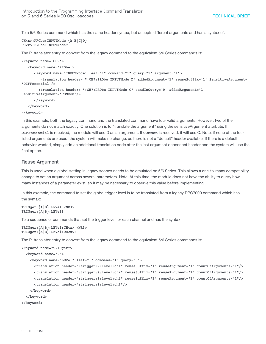To a 5/6 Series command which has the same header syntax, but accepts different arguments and has a syntax of:

```
CH<x>:PRObe:INPUTMode {A|B|C|D}
CH<x>:PRObe:INPUTMode?
```
The PI translator entry to convert from the legacy command to the equivalent 5/6 Series commands is:

```
<keyword name='CH?'>
```
 **<keyword name='PRObe'>**

 **<keyword name='INPUTMode' leaf="1" command="1" query="1" argument="1">**

```
 <translation header= ":CH?:PRObe:INPUTMode D" addedArgument='1' reuseSuffix='1' SensitiveArgument=
'DIFFerential'/>
```

```
 <translation header= ":CH?:PRObe:INPUTMode C" sendInQuery='0' addedArgument='1' 
SensitiveArgument='COMmon'/>
```
 **</keyword>**

 **</keyword>**

```
</keyword>
```
In this example, both the legacy command and the translated command have four valid arguments. However, two of the arguments do not match exactly. One solution is to "translate the argument" using the sensitiveArgument attribute. If **DIFFerential** is received, the module will use D as an argument. If **COMmon** is received, it will use C. Note, if none of the four listed arguments are used, the system will make no change, as there is not a "default" header available. If there is a default behavior wanted, simply add an additional translation node after the last argument dependent header and the system will use the final option.

### Reuse Argument

This is used when a global setting in legacy scopes needs to be emulated on 5/6 Series. This allows a one-to-many compatibility change to set an argument across several parameters. Note: At this time, the module does not have the ability to query how many instances of a parameter exist, so it may be necessary to observe this value before implementing.

In this example, the command to set the global trigger level is to be translated from a legacy DPO7000 command which has the syntax:

```
TRIGger:{A|B}:LEVel <NR3>
TRIGger:{A|B}:LEVel?
```
To a sequence of commands that set the trigger level for each channel and has the syntax:

```
TRIGger:{A|B}:LEVel:CH<x> <NR3>
TRIGger:{A|B}:LEVel:CH<x>?
```
The PI translator entry to convert from the legacy command to the equivalent 5/6 Series commands is:

```
<keyword name="TRIGger">
   <keyword name="?"> 
     <keyword name="LEVel" leaf="1" command="1" query="0">
       <translation header=":trigger:?:level:ch1" reuseSuffix="1" reuseArgument="1" countOfArguments="1"/>
       <translation header=":trigger:?:level:ch2" reuseSuffix="1" reuseArgument="1" countOfArguments="1"/>
       <translation header=":trigger:?:level:ch3" reuseSuffix="1" reuseArgument="1" countOfArguments="1"/>
       <translation header=":trigger:?:level:ch4"/>
     </keyword>
   </keyword>
</keyword>
```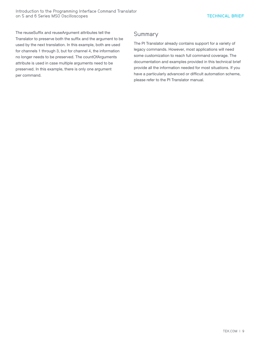The reuseSuffix and reuseArgument attributes tell the Translator to preserve both the suffix and the argument to be used by the next translation. In this example, both are used for channels 1 through 3, but for channel 4, the information no longer needs to be preserved. The countOfArguments attribute is used in case multiple arguments need to be preserved. In this example, there is only one argument per command.

## **Summary**

The PI Translator already contains support for a variety of legacy commands. However, most applications will need some customization to reach full command coverage. The documentation and examples provided in this technical brief provide all the information needed for most situations. If you have a particularly advanced or difficult automation scheme, please refer to the PI Translator manual.